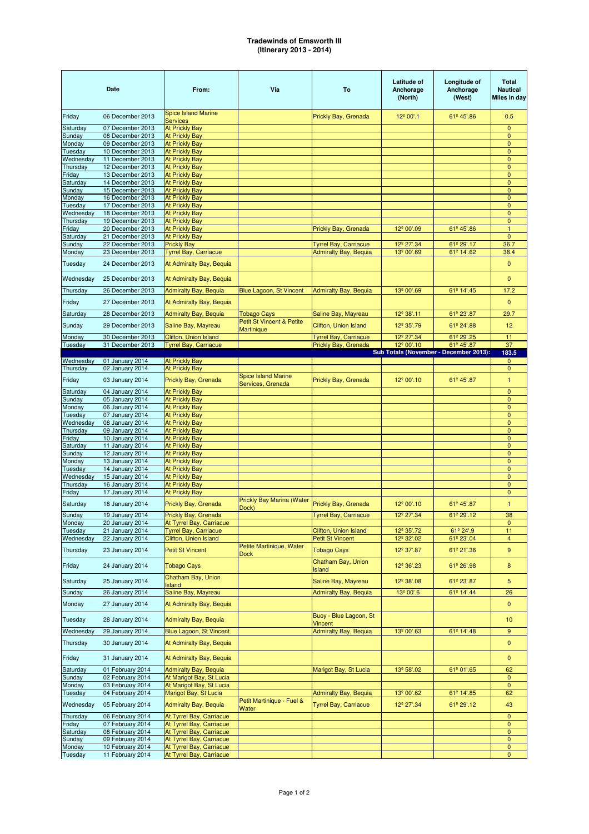## **Tradewinds of Emsworth III (Itinerary 2013 - 2014)**

|                      | Date                                 | From:                                                | Via                                             | To                                                           | Latitude of<br>Anchorage<br>(North)              | Longitude of<br>Anchorage<br>(West)    | <b>Total</b><br><b>Nautical</b><br><b>Miles in day</b> |
|----------------------|--------------------------------------|------------------------------------------------------|-------------------------------------------------|--------------------------------------------------------------|--------------------------------------------------|----------------------------------------|--------------------------------------------------------|
| Friday               | 06 December 2013                     | <b>Spice Island Marine</b>                           |                                                 | Prickly Bay, Grenada                                         | 12 <sup>°</sup> 00'.1                            | 61 <sup>º</sup> 45'.86                 | 0.5                                                    |
| Saturday             | 07 December 2013                     | <b>Services</b><br><b>At Prickly Bay</b>             |                                                 |                                                              |                                                  |                                        | 0                                                      |
| Sunday               | 08 December 2013                     | <b>At Prickly Bay</b>                                |                                                 |                                                              |                                                  |                                        | 0                                                      |
| Monday               | 09 December 2013                     | <b>At Prickly Bay</b>                                |                                                 |                                                              |                                                  |                                        | 0                                                      |
| Tuesday              | 10 December 2013                     | <b>At Prickly Bay</b>                                |                                                 |                                                              |                                                  |                                        | 0                                                      |
| Wednesday            | 11 December 2013                     | <b>At Prickly Bay</b>                                |                                                 |                                                              |                                                  |                                        | 0                                                      |
| Thursday             | 12 December 2013                     | <b>At Prickly Bay</b>                                |                                                 |                                                              |                                                  |                                        | 0                                                      |
| Friday<br>Saturday   | 13 December 2013<br>14 December 2013 | <b>At Prickly Bay</b><br><b>At Prickly Bay</b>       |                                                 |                                                              |                                                  |                                        | 0<br>0                                                 |
| Sunday               | 15 December 2013                     | <b>At Prickly Bay</b>                                |                                                 |                                                              |                                                  |                                        | 0                                                      |
| Monday               | 16 December 2013                     | <b>At Prickly Bay</b>                                |                                                 |                                                              |                                                  |                                        | $\mathbf{0}$                                           |
| Tuesday              | 17 December 2013                     | <b>At Prickly Bay</b>                                |                                                 |                                                              |                                                  |                                        | 0                                                      |
| Wednesday            | 18 December 2013                     | <b>At Prickly Bay</b>                                |                                                 |                                                              |                                                  |                                        | 0                                                      |
| Thursday             | 19 December 2013                     | <b>At Prickly Bay</b>                                |                                                 |                                                              |                                                  |                                        | 0                                                      |
| Friday               | 20 December 2013                     | <b>At Prickly Bay</b>                                |                                                 | Prickly Bay, Grenada                                         | 12 <sup>°</sup> 00'.09                           | 61º 45'.86                             | 1                                                      |
| Saturday             | 21 December 2013                     | <b>At Prickly Bay</b>                                |                                                 |                                                              |                                                  |                                        | $\mathbf{0}$                                           |
| Sunday<br>Monday     | 22 December 2013<br>23 December 2013 | <b>Prickly Bay</b><br><b>Tyrrel Bay, Carriacue</b>   |                                                 | <b>Tyrrel Bay, Carriacue</b><br><b>Admiralty Bay, Bequia</b> | 12 <sup>°</sup> 27'.34<br>13 <sup>º</sup> 00'.69 | 61º 29'.17<br>61º 14'.62               | 36.7<br>38.4                                           |
|                      |                                      |                                                      |                                                 |                                                              |                                                  |                                        |                                                        |
| Tuesday              | 24 December 2013                     | At Admiralty Bay, Bequia                             |                                                 |                                                              |                                                  |                                        | $\mathbf 0$                                            |
| Wednesday            | 25 December 2013                     | At Admiralty Bay, Bequia                             |                                                 |                                                              |                                                  |                                        | $\overline{0}$                                         |
| Thursday             | 26 December 2013                     | <b>Admiralty Bay, Bequia</b>                         | Blue Lagoon, St Vincent                         | <b>Admiralty Bay, Bequia</b>                                 | 13 <sup>°</sup> 00'.69                           | 61º 14'.45                             | 17.2                                                   |
| Friday               | 27 December 2013                     | At Admiralty Bay, Bequia                             |                                                 |                                                              |                                                  |                                        | $\mathbf{0}$                                           |
| Saturday             | 28 December 2013                     | <b>Admiralty Bay, Bequia</b>                         | <b>Tobago Cays</b>                              | Saline Bay, Mayreau                                          | 12 <sup>°</sup> 38'.11                           | 61º 23'.87                             | 29.7                                                   |
| Sunday               | 29 December 2013                     | Saline Bay, Mayreau                                  | <b>Petit St Vincent &amp; Petite</b>            | Clifton, Union Island                                        | 12 <sup>°</sup> 35'.79                           | 61º 24'.88                             | 12                                                     |
| Monday               | 30 December 2013                     | Clifton, Union Island                                | <b>Martinique</b>                               | <b>Tyrrel Bay, Carriacue</b>                                 | 12 <sup>°</sup> 27'.34                           | 61º 29'.25                             | 11                                                     |
| Tuesday              | 31 December 2013                     | <b>Tyrrel Bay, Carriacue</b>                         |                                                 | Prickly Bay, Grenada                                         | 12 <sup>°</sup> 00'.10                           | 61º 45'.87                             | 37                                                     |
|                      |                                      |                                                      |                                                 |                                                              |                                                  | Sub Totals (November - December 2013): | 183.5                                                  |
| Wednesday            | 01 January 2014                      | <b>At Prickly Bay</b>                                |                                                 |                                                              |                                                  |                                        | $\mathbf{0}$                                           |
| Thursday             | 02 January 2014                      | <b>At Prickly Bay</b>                                |                                                 |                                                              |                                                  |                                        | 0                                                      |
| Friday               | 03 January 2014                      | Prickly Bay, Grenada                                 | <b>Spice Island Marine</b><br>Services, Grenada | Prickly Bay, Grenada                                         | 12 <sup>°</sup> 00'.10                           | 61º 45'.87                             | $\mathbf{1}$                                           |
| Saturday             | 04 January 2014                      | <b>At Prickly Bay</b>                                |                                                 |                                                              |                                                  |                                        | 0                                                      |
| Sunday               | 05 January 2014                      | <b>At Prickly Bay</b>                                |                                                 |                                                              |                                                  |                                        | 0                                                      |
| Monday<br>Tuesday    | 06 January 2014<br>07 January 2014   | <b>At Prickly Bay</b>                                |                                                 |                                                              |                                                  |                                        | 0<br>0                                                 |
| Wednesday            | 08 January 2014                      | <b>At Prickly Bay</b><br><b>At Prickly Bay</b>       |                                                 |                                                              |                                                  |                                        | 0                                                      |
| Thursday             | 09 January 2014                      | <b>At Prickly Bay</b>                                |                                                 |                                                              |                                                  |                                        | 0                                                      |
| Friday               | 10 January 2014                      | <b>At Prickly Bay</b>                                |                                                 |                                                              |                                                  |                                        | 0                                                      |
| Saturday             | 11 January 2014                      | <b>At Prickly Bay</b>                                |                                                 |                                                              |                                                  |                                        | 0                                                      |
| Sunday               | 12 January 2014                      | <b>At Prickly Bay</b>                                |                                                 |                                                              |                                                  |                                        | 0                                                      |
| Monday               | 13 January 2014                      | <b>At Prickly Bay</b>                                |                                                 |                                                              |                                                  |                                        | 0                                                      |
| Tuesday<br>Wednesday | 14 January 2014<br>15 January 2014   | <b>At Prickly Bay</b><br><b>At Prickly Bay</b>       |                                                 |                                                              |                                                  |                                        | 0<br>$\mathbf 0$                                       |
| Thursday             | 16 January 2014                      | <b>At Prickly Bay</b>                                |                                                 |                                                              |                                                  |                                        | 0                                                      |
| Friday               | 17 January 2014                      | <b>At Prickly Bay</b>                                |                                                 |                                                              |                                                  |                                        | 0                                                      |
| Saturday             | 18 January 2014                      | Prickly Bay, Grenada                                 | <b>Prickly Bay Marina (Water</b><br>Dock)       | Prickly Bay, Grenada                                         | 12 <sup>°</sup> 00'.10                           | 61 <sup>º</sup> 45'.87                 | 1                                                      |
| Sunday               | 19 January 2014                      | Prickly Bay, Grenada                                 |                                                 | <b>Tyrrel Bay, Carriacue</b>                                 | 12 <sup>°</sup> 27'.34                           | 61º 29'.12                             | 38                                                     |
| Monday               | 20 January 2014                      | At Tyrrel Bay, Carriacue                             |                                                 |                                                              |                                                  |                                        | 0                                                      |
| Tuesday              | 21 January 2014                      | <b>Tyrrel Bay, Carriacue</b>                         |                                                 | Clifton, Union Island                                        | 12 <sup>°</sup> 35'.72                           | 61º 24'.9                              | 11                                                     |
| Wednesday            | 22 January 2014                      | Clifton, Union Island                                |                                                 | <b>Petit St Vincent</b>                                      | 12 <sup>°</sup> 32'.02                           | 61º 23'.04                             | $\overline{4}$                                         |
| Thursday             | 23 January 2014                      | <b>Petit St Vincent</b>                              | Petite Martinique, Water<br><b>Dock</b>         | <b>Tobago Cays</b>                                           | 12 <sup>°</sup> 37'.87                           | 61º 21'.36                             | 9                                                      |
| Friday               | 24 January 2014                      | <b>Tobago Cays</b>                                   |                                                 | Chatham Bay, Union<br>Island                                 | 12 <sup>°</sup> 36'.23                           | 61º 26'.98                             | 8                                                      |
| Saturday             | 25 January 2014                      | Chatham Bay, Union<br><b>Island</b>                  |                                                 | Saline Bay, Mayreau                                          | 12 <sup>°</sup> 38'.08                           | 61º 23'.87                             | 5                                                      |
| Sunday               | 26 January 2014                      | Saline Bay, Mayreau                                  |                                                 | <b>Admiralty Bay, Beguia</b>                                 | 13 <sup>º</sup> 00'.6                            | 61º 14'.44                             | 26                                                     |
| Monday               | 27 January 2014                      | At Admiralty Bay, Bequia                             |                                                 |                                                              |                                                  |                                        | $\mathbf{0}$                                           |
| Tuesday              | 28 January 2014                      | <b>Admiralty Bay, Bequia</b>                         |                                                 | Buoy - Blue Lagoon, St<br>Vincent                            |                                                  |                                        | 10                                                     |
| Wednesday            | 29 January 2014                      | Blue Lagoon, St Vincent                              |                                                 | <b>Admiralty Bay, Bequia</b>                                 | 13 <sup>°</sup> 00'.63                           | 61º 14'.48                             | 9                                                      |
| Thursday             | 30 January 2014                      | At Admiralty Bay, Bequia                             |                                                 |                                                              |                                                  |                                        | $\mathbf 0$                                            |
| Friday               | 31 January 2014                      | At Admiralty Bay, Bequia                             |                                                 |                                                              |                                                  |                                        | $\mathbf{0}$                                           |
| Saturday             | 01 February 2014                     | <b>Admiralty Bay, Bequia</b>                         |                                                 | Marigot Bay, St Lucia                                        | 13 <sup>°</sup> 58'.02                           | 61º 01'.65                             | 62                                                     |
| Sunday               | 02 February 2014                     | At Marigot Bay, St Lucia                             |                                                 |                                                              |                                                  |                                        | 0                                                      |
| Monday               | 03 February 2014                     | At Marigot Bay, St Lucia                             |                                                 |                                                              |                                                  |                                        | $\mathbf 0$                                            |
| Tuesday              | 04 February 2014                     | Marigot Bay, St Lucia                                |                                                 | <b>Admiralty Bay, Bequia</b>                                 | 13 <sup>º</sup> 00'.62                           | 61º 14'.85                             | 62                                                     |
| Wednesday            | 05 February 2014                     | <b>Admiralty Bay, Bequia</b>                         | Petit Martinique - Fuel &<br>Water              | <b>Tyrrel Bay, Carriacue</b>                                 | 12 <sup>°</sup> 27'.34                           | 61º 29'.12                             | 43                                                     |
| Thursday             | 06 February 2014                     | At Tyrrel Bay, Carriacue                             |                                                 |                                                              |                                                  |                                        | $\mathbf{0}$                                           |
| Friday               | 07 February 2014                     | At Tyrrel Bay, Carriacue                             |                                                 |                                                              |                                                  |                                        | 0                                                      |
| Saturday<br>Sunday   | 08 February 2014<br>09 February 2014 | At Tyrrel Bay, Carriacue<br>At Tyrrel Bay, Carriacue |                                                 |                                                              |                                                  |                                        | 0<br>$\overline{0}$                                    |
| Monday               | 10 February 2014                     | At Tyrrel Bay, Carriacue                             |                                                 |                                                              |                                                  |                                        | 0                                                      |
| Tuesday              | 11 February 2014                     | At Tyrrel Bay, Carriacue                             |                                                 |                                                              |                                                  |                                        | 0                                                      |